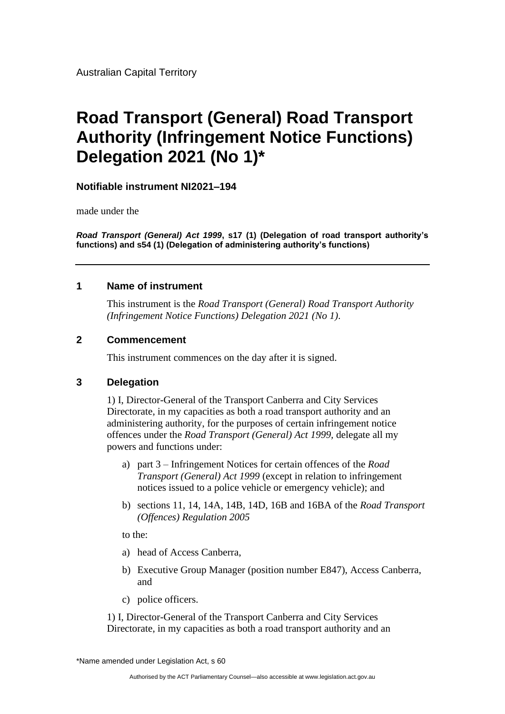Australian Capital Territory

# **Road Transport (General) Road Transport Authority (Infringement Notice Functions) Delegation 2021 (No 1)\***

#### **Notifiable instrument NI2021–194**

made under the

*Road Transport (General) Act 1999***, s17 (1) (Delegation of road transport authority's functions) and s54 (1) (Delegation of administering authority's functions)**

#### **1 Name of instrument**

This instrument is the *Road Transport (General) Road Transport Authority (Infringement Notice Functions) Delegation 2021 (No 1)*.

#### **2 Commencement**

This instrument commences on the day after it is signed.

#### **3 Delegation**

1) I, Director-General of the Transport Canberra and City Services Directorate, in my capacities as both a road transport authority and an administering authority, for the purposes of certain infringement notice offences under the *Road Transport (General) Act 1999,* delegate all my powers and functions under:

- a) part 3 Infringement Notices for certain offences of the *Road Transport (General) Act 1999* (except in relation to infringement notices issued to a police vehicle or emergency vehicle); and
- b) sections 11, 14, 14A, 14B, 14D, 16B and 16BA of the *Road Transport (Offences) Regulation 2005*

to the:

- a) head of Access Canberra,
- b) Executive Group Manager (position number E847), Access Canberra, and
- c) police officers.

1) I, Director-General of the Transport Canberra and City Services Directorate, in my capacities as both a road transport authority and an

\*Name amended under Legislation Act, s 60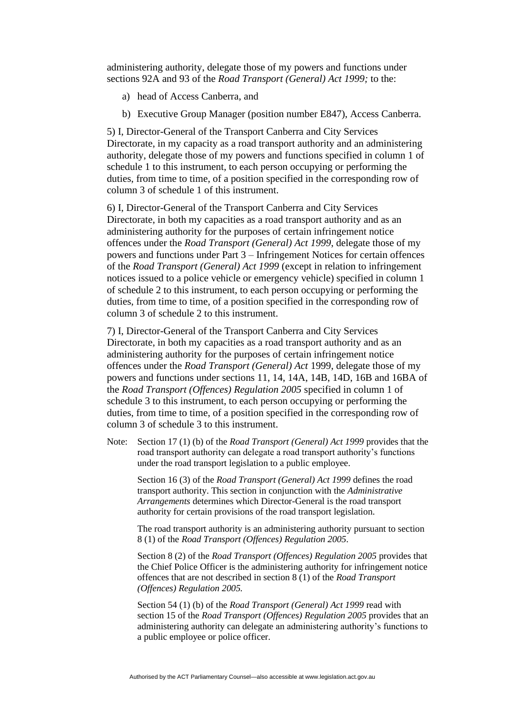administering authority, delegate those of my powers and functions under sections 92A and 93 of the *Road Transport (General) Act 1999;* to the:

- a) head of Access Canberra, and
- b) Executive Group Manager (position number E847), Access Canberra.

5) I, Director-General of the Transport Canberra and City Services Directorate, in my capacity as a road transport authority and an administering authority, delegate those of my powers and functions specified in column 1 of schedule 1 to this instrument, to each person occupying or performing the duties, from time to time, of a position specified in the corresponding row of column 3 of schedule 1 of this instrument.

6) I, Director-General of the Transport Canberra and City Services Directorate, in both my capacities as a road transport authority and as an administering authority for the purposes of certain infringement notice offences under the *Road Transport (General) Act 1999*, delegate those of my powers and functions under Part 3 – Infringement Notices for certain offences of the *Road Transport (General) Act 1999* (except in relation to infringement notices issued to a police vehicle or emergency vehicle) specified in column 1 of schedule 2 to this instrument, to each person occupying or performing the duties, from time to time, of a position specified in the corresponding row of column 3 of schedule 2 to this instrument.

7) I, Director-General of the Transport Canberra and City Services Directorate, in both my capacities as a road transport authority and as an administering authority for the purposes of certain infringement notice offences under the *Road Transport (General) Act* 1999, delegate those of my powers and functions under sections 11, 14, 14A, 14B, 14D, 16B and 16BA of the *Road Transport (Offences) Regulation 2005* specified in column 1 of schedule 3 to this instrument, to each person occupying or performing the duties, from time to time, of a position specified in the corresponding row of column 3 of schedule 3 to this instrument.

Note: Section 17 (1) (b) of the *Road Transport (General) Act 1999* provides that the road transport authority can delegate a road transport authority's functions under the road transport legislation to a public employee.

Section 16 (3) of the *Road Transport (General) Act 1999* defines the road transport authority. This section in conjunction with the *Administrative Arrangements* determines which Director-General is the road transport authority for certain provisions of the road transport legislation.

The road transport authority is an administering authority pursuant to section 8 (1) of the *Road Transport (Offences) Regulation 2005*.

Section 8 (2) of the *Road Transport (Offences) Regulation 2005* provides that the Chief Police Officer is the administering authority for infringement notice offences that are not described in section 8 (1) of the *Road Transport (Offences) Regulation 2005.*

Section 54 (1) (b) of the *Road Transport (General) Act 1999* read with section 15 of the *Road Transport (Offences) Regulation 2005* provides that an administering authority can delegate an administering authority's functions to a public employee or police officer.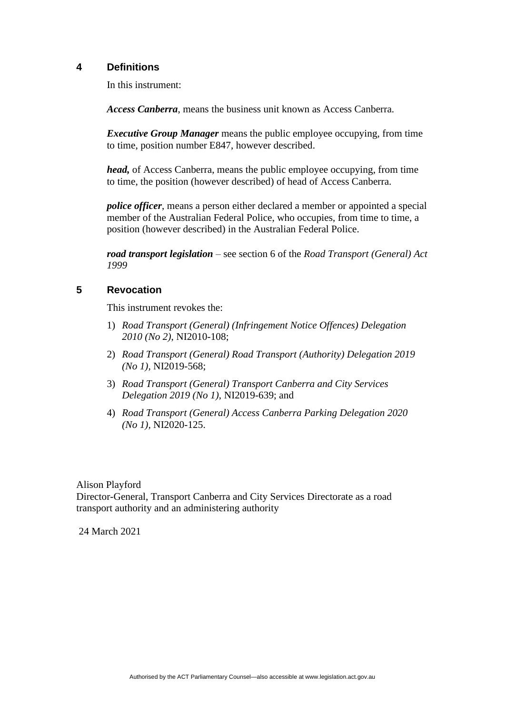#### **4 Definitions**

In this instrument:

*Access Canberra*, means the business unit known as Access Canberra.

*Executive Group Manager* means the public employee occupying, from time to time, position number E847, however described.

*head*, of Access Canberra, means the public employee occupying, from time to time, the position (however described) of head of Access Canberra.

*police officer*, means a person either declared a member or appointed a special member of the Australian Federal Police, who occupies, from time to time, a position (however described) in the Australian Federal Police.

*road transport legislation* – see section 6 of the *Road Transport (General) Act 1999*

#### **5 Revocation**

This instrument revokes the:

- 1) *Road Transport (General) (Infringement Notice Offences) Delegation 2010 (No 2)*, NI2010-108;
- 2) *Road Transport (General) Road Transport (Authority) Delegation 2019 (No 1),* NI2019-568;
- 3) *Road Transport (General) Transport Canberra and City Services Delegation 2019 (No 1)*, NI2019-639; and
- 4) *Road Transport (General) Access Canberra Parking Delegation 2020 (No 1),* NI2020-125.

Alison Playford Director-General, Transport Canberra and City Services Directorate as a road transport authority and an administering authority

24 March 2021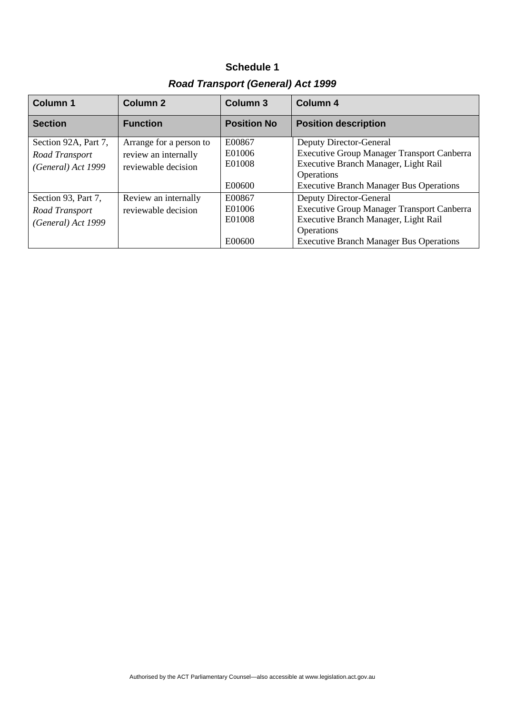| <b>Road Transport (General) Act 1999</b>                     |                                                                        |                                      |                                                                                                                                                                                      |
|--------------------------------------------------------------|------------------------------------------------------------------------|--------------------------------------|--------------------------------------------------------------------------------------------------------------------------------------------------------------------------------------|
| <b>Column 1</b>                                              | Column <sub>2</sub>                                                    | Column <sub>3</sub>                  | Column 4                                                                                                                                                                             |
| <b>Section</b>                                               | <b>Function</b>                                                        | <b>Position No</b>                   | <b>Position description</b>                                                                                                                                                          |
| Section 92A, Part 7,<br>Road Transport<br>(General) Act 1999 | Arrange for a person to<br>review an internally<br>reviewable decision | E00867<br>E01006<br>E01008<br>E00600 | Deputy Director-General<br><b>Executive Group Manager Transport Canberra</b><br>Executive Branch Manager, Light Rail<br>Operations<br><b>Executive Branch Manager Bus Operations</b> |
| Section 93, Part 7,<br>Road Transport<br>(General) Act 1999  | Review an internally<br>reviewable decision                            | E00867<br>E01006<br>E01008<br>E00600 | Deputy Director-General<br><b>Executive Group Manager Transport Canberra</b><br>Executive Branch Manager, Light Rail<br>Operations<br><b>Executive Branch Manager Bus Operations</b> |

**Schedule 1**

#### Authorised by the ACT Parliamentary Counsel—also accessible at www.legislation.act.gov.au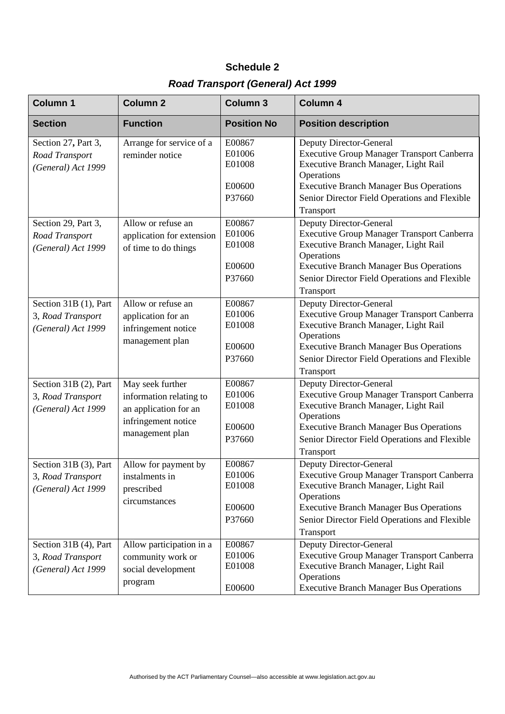# **Schedule 2** *Road Transport (General) Act 1999*

| <b>Column 1</b>                                                  | Column <sub>2</sub>                                                                                            | <b>Column 3</b>                                | <b>Column 4</b>                                                                                                                                                                                                                                           |
|------------------------------------------------------------------|----------------------------------------------------------------------------------------------------------------|------------------------------------------------|-----------------------------------------------------------------------------------------------------------------------------------------------------------------------------------------------------------------------------------------------------------|
| <b>Section</b>                                                   | <b>Function</b>                                                                                                | <b>Position No</b>                             | <b>Position description</b>                                                                                                                                                                                                                               |
| Section 27, Part 3,<br>Road Transport<br>(General) Act 1999      | Arrange for service of a<br>reminder notice                                                                    | E00867<br>E01006<br>E01008<br>E00600<br>P37660 | Deputy Director-General<br><b>Executive Group Manager Transport Canberra</b><br>Executive Branch Manager, Light Rail<br>Operations<br><b>Executive Branch Manager Bus Operations</b><br>Senior Director Field Operations and Flexible                     |
| Section 29, Part 3,<br>Road Transport<br>(General) Act 1999      | Allow or refuse an<br>application for extension<br>of time to do things                                        | E00867<br>E01006<br>E01008                     | Transport<br>Deputy Director-General<br><b>Executive Group Manager Transport Canberra</b><br>Executive Branch Manager, Light Rail<br>Operations                                                                                                           |
|                                                                  |                                                                                                                | E00600<br>P37660                               | <b>Executive Branch Manager Bus Operations</b><br>Senior Director Field Operations and Flexible<br>Transport                                                                                                                                              |
| Section 31B (1), Part<br>3, Road Transport<br>(General) Act 1999 | Allow or refuse an<br>application for an<br>infringement notice<br>management plan                             | E00867<br>E01006<br>E01008<br>E00600<br>P37660 | <b>Deputy Director-General</b><br><b>Executive Group Manager Transport Canberra</b><br>Executive Branch Manager, Light Rail<br>Operations<br><b>Executive Branch Manager Bus Operations</b><br>Senior Director Field Operations and Flexible<br>Transport |
| Section 31B (2), Part<br>3, Road Transport<br>(General) Act 1999 | May seek further<br>information relating to<br>an application for an<br>infringement notice<br>management plan | E00867<br>E01006<br>E01008<br>E00600<br>P37660 | Deputy Director-General<br>Executive Group Manager Transport Canberra<br>Executive Branch Manager, Light Rail<br>Operations<br><b>Executive Branch Manager Bus Operations</b><br>Senior Director Field Operations and Flexible<br>Transport               |
| Section 31B (3), Part<br>3, Road Transport<br>(General) Act 1999 | Allow for payment by<br>instalments in<br>prescribed<br>circumstances                                          | E00867<br>E01006<br>E01008<br>E00600<br>P37660 | Deputy Director-General<br><b>Executive Group Manager Transport Canberra</b><br>Executive Branch Manager, Light Rail<br>Operations<br><b>Executive Branch Manager Bus Operations</b><br>Senior Director Field Operations and Flexible<br>Transport        |
| Section 31B (4), Part<br>3, Road Transport<br>(General) Act 1999 | Allow participation in a<br>community work or<br>social development<br>program                                 | E00867<br>E01006<br>E01008<br>E00600           | Deputy Director-General<br><b>Executive Group Manager Transport Canberra</b><br>Executive Branch Manager, Light Rail<br>Operations<br><b>Executive Branch Manager Bus Operations</b>                                                                      |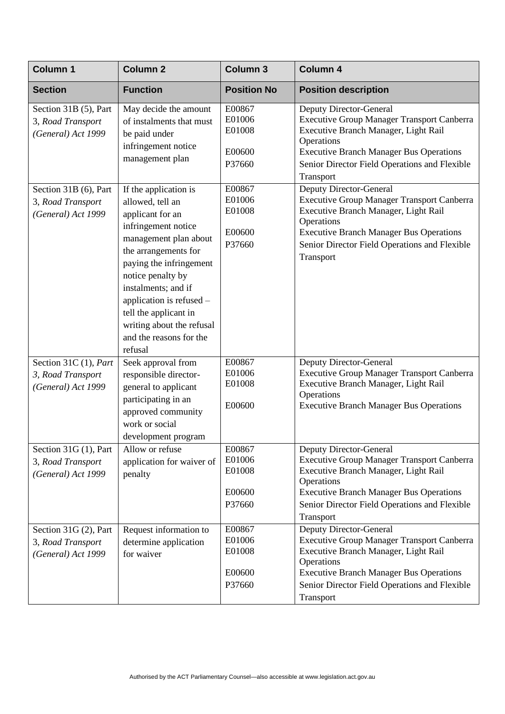| <b>Column 1</b>                                                  | Column <sub>2</sub>                                                                                                                                                                                                                                                                                                                  | <b>Column 3</b>                                | Column 4                                                                                                                                                                                                                                                  |
|------------------------------------------------------------------|--------------------------------------------------------------------------------------------------------------------------------------------------------------------------------------------------------------------------------------------------------------------------------------------------------------------------------------|------------------------------------------------|-----------------------------------------------------------------------------------------------------------------------------------------------------------------------------------------------------------------------------------------------------------|
| <b>Section</b>                                                   | <b>Function</b>                                                                                                                                                                                                                                                                                                                      | <b>Position No</b>                             | <b>Position description</b>                                                                                                                                                                                                                               |
| Section 31B (5), Part<br>3, Road Transport<br>(General) Act 1999 | May decide the amount<br>of instalments that must<br>be paid under<br>infringement notice<br>management plan                                                                                                                                                                                                                         | E00867<br>E01006<br>E01008<br>E00600<br>P37660 | <b>Deputy Director-General</b><br><b>Executive Group Manager Transport Canberra</b><br>Executive Branch Manager, Light Rail<br>Operations<br><b>Executive Branch Manager Bus Operations</b><br>Senior Director Field Operations and Flexible<br>Transport |
| Section 31B (6), Part<br>3, Road Transport<br>(General) Act 1999 | If the application is<br>allowed, tell an<br>applicant for an<br>infringement notice<br>management plan about<br>the arrangements for<br>paying the infringement<br>notice penalty by<br>instalments; and if<br>application is refused -<br>tell the applicant in<br>writing about the refusal<br>and the reasons for the<br>refusal | E00867<br>E01006<br>E01008<br>E00600<br>P37660 | Deputy Director-General<br><b>Executive Group Manager Transport Canberra</b><br>Executive Branch Manager, Light Rail<br>Operations<br><b>Executive Branch Manager Bus Operations</b><br>Senior Director Field Operations and Flexible<br>Transport        |
| Section 31C (1), Part<br>3, Road Transport<br>(General) Act 1999 | Seek approval from<br>responsible director-<br>general to applicant<br>participating in an<br>approved community<br>work or social<br>development program                                                                                                                                                                            | E00867<br>E01006<br>E01008<br>E00600           | Deputy Director-General<br><b>Executive Group Manager Transport Canberra</b><br>Executive Branch Manager, Light Rail<br>Operations<br><b>Executive Branch Manager Bus Operations</b>                                                                      |
| Section 31G (1), Part<br>3, Road Transport<br>(General) Act 1999 | Allow or refuse<br>application for waiver of<br>penalty                                                                                                                                                                                                                                                                              | E00867<br>E01006<br>E01008<br>E00600<br>P37660 | <b>Deputy Director-General</b><br><b>Executive Group Manager Transport Canberra</b><br>Executive Branch Manager, Light Rail<br>Operations<br><b>Executive Branch Manager Bus Operations</b><br>Senior Director Field Operations and Flexible<br>Transport |
| Section 31G (2), Part<br>3, Road Transport<br>(General) Act 1999 | Request information to<br>determine application<br>for waiver                                                                                                                                                                                                                                                                        | E00867<br>E01006<br>E01008<br>E00600<br>P37660 | <b>Deputy Director-General</b><br><b>Executive Group Manager Transport Canberra</b><br>Executive Branch Manager, Light Rail<br>Operations<br><b>Executive Branch Manager Bus Operations</b><br>Senior Director Field Operations and Flexible<br>Transport |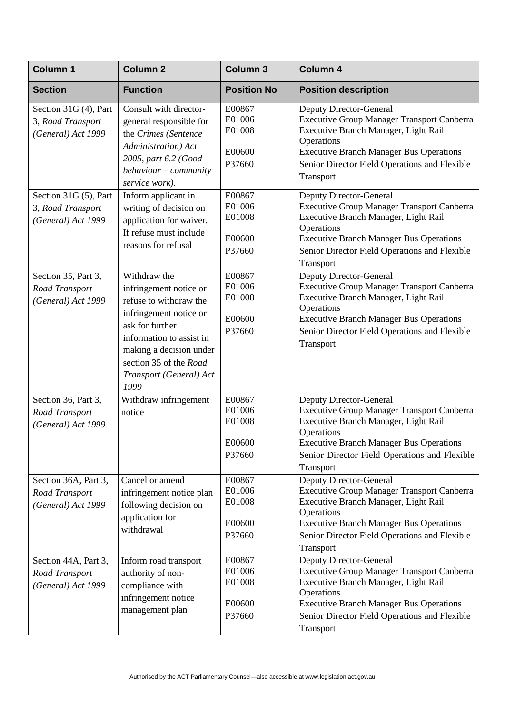| <b>Column 1</b>                                                  | <b>Column 2</b>                                                                                                                                                                                                                   | <b>Column 3</b>                                | <b>Column 4</b>                                                                                                                                                                                                                                           |
|------------------------------------------------------------------|-----------------------------------------------------------------------------------------------------------------------------------------------------------------------------------------------------------------------------------|------------------------------------------------|-----------------------------------------------------------------------------------------------------------------------------------------------------------------------------------------------------------------------------------------------------------|
| <b>Section</b>                                                   | <b>Function</b>                                                                                                                                                                                                                   | <b>Position No</b>                             | <b>Position description</b>                                                                                                                                                                                                                               |
| Section 31G (4), Part<br>3, Road Transport<br>(General) Act 1999 | Consult with director-<br>general responsible for<br>the Crimes (Sentence<br>Administration) Act<br>2005, part 6.2 (Good<br>$behavior-commuity$<br>service work).                                                                 | E00867<br>E01006<br>E01008<br>E00600<br>P37660 | Deputy Director-General<br><b>Executive Group Manager Transport Canberra</b><br>Executive Branch Manager, Light Rail<br>Operations<br><b>Executive Branch Manager Bus Operations</b><br>Senior Director Field Operations and Flexible<br>Transport        |
| Section 31G (5), Part<br>3, Road Transport<br>(General) Act 1999 | Inform applicant in<br>writing of decision on<br>application for waiver.<br>If refuse must include<br>reasons for refusal                                                                                                         | E00867<br>E01006<br>E01008<br>E00600<br>P37660 | Deputy Director-General<br><b>Executive Group Manager Transport Canberra</b><br>Executive Branch Manager, Light Rail<br>Operations<br><b>Executive Branch Manager Bus Operations</b><br>Senior Director Field Operations and Flexible<br>Transport        |
| Section 35, Part 3,<br>Road Transport<br>(General) Act 1999      | Withdraw the<br>infringement notice or<br>refuse to withdraw the<br>infringement notice or<br>ask for further<br>information to assist in<br>making a decision under<br>section 35 of the Road<br>Transport (General) Act<br>1999 | E00867<br>E01006<br>E01008<br>E00600<br>P37660 | Deputy Director-General<br><b>Executive Group Manager Transport Canberra</b><br>Executive Branch Manager, Light Rail<br>Operations<br><b>Executive Branch Manager Bus Operations</b><br>Senior Director Field Operations and Flexible<br>Transport        |
| Section 36, Part 3,<br>Road Transport<br>(General) Act 1999      | Withdraw infringement<br>notice                                                                                                                                                                                                   | E00867<br>E01006<br>E01008<br>E00600<br>P37660 | Deputy Director-General<br><b>Executive Group Manager Transport Canberra</b><br>Executive Branch Manager, Light Rail<br>Operations<br><b>Executive Branch Manager Bus Operations</b><br>Senior Director Field Operations and Flexible<br>Transport        |
| Section 36A, Part 3,<br>Road Transport<br>(General) Act 1999     | Cancel or amend<br>infringement notice plan<br>following decision on<br>application for<br>withdrawal                                                                                                                             | E00867<br>E01006<br>E01008<br>E00600<br>P37660 | <b>Deputy Director-General</b><br><b>Executive Group Manager Transport Canberra</b><br>Executive Branch Manager, Light Rail<br>Operations<br><b>Executive Branch Manager Bus Operations</b><br>Senior Director Field Operations and Flexible<br>Transport |
| Section 44A, Part 3,<br>Road Transport<br>(General) Act 1999     | Inform road transport<br>authority of non-<br>compliance with<br>infringement notice<br>management plan                                                                                                                           | E00867<br>E01006<br>E01008<br>E00600<br>P37660 | Deputy Director-General<br><b>Executive Group Manager Transport Canberra</b><br>Executive Branch Manager, Light Rail<br>Operations<br><b>Executive Branch Manager Bus Operations</b><br>Senior Director Field Operations and Flexible<br>Transport        |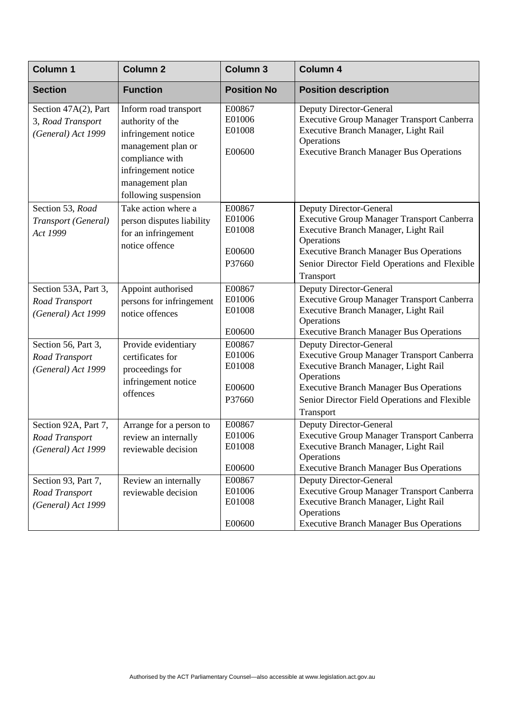| <b>Column 1</b>                                                 | <b>Column 2</b>                                                                                                                                                             | <b>Column 3</b>                                | <b>Column 4</b>                                                                                                                                                                                                                                    |
|-----------------------------------------------------------------|-----------------------------------------------------------------------------------------------------------------------------------------------------------------------------|------------------------------------------------|----------------------------------------------------------------------------------------------------------------------------------------------------------------------------------------------------------------------------------------------------|
| <b>Section</b>                                                  | <b>Function</b>                                                                                                                                                             | <b>Position No</b>                             | <b>Position description</b>                                                                                                                                                                                                                        |
| Section 47A(2), Part<br>3, Road Transport<br>(General) Act 1999 | Inform road transport<br>authority of the<br>infringement notice<br>management plan or<br>compliance with<br>infringement notice<br>management plan<br>following suspension | E00867<br>E01006<br>E01008<br>E00600           | <b>Deputy Director-General</b><br>Executive Group Manager Transport Canberra<br>Executive Branch Manager, Light Rail<br>Operations<br><b>Executive Branch Manager Bus Operations</b>                                                               |
| Section 53, Road<br>Transport (General)<br>Act 1999             | Take action where a<br>person disputes liability<br>for an infringement<br>notice offence                                                                                   | E00867<br>E01006<br>E01008<br>E00600<br>P37660 | Deputy Director-General<br><b>Executive Group Manager Transport Canberra</b><br>Executive Branch Manager, Light Rail<br>Operations<br><b>Executive Branch Manager Bus Operations</b><br>Senior Director Field Operations and Flexible<br>Transport |
| Section 53A, Part 3,<br>Road Transport<br>(General) Act 1999    | Appoint authorised<br>persons for infringement<br>notice offences                                                                                                           | E00867<br>E01006<br>E01008<br>E00600           | <b>Deputy Director-General</b><br><b>Executive Group Manager Transport Canberra</b><br>Executive Branch Manager, Light Rail<br>Operations<br><b>Executive Branch Manager Bus Operations</b>                                                        |
| Section 56, Part 3,<br>Road Transport<br>(General) Act 1999     | Provide evidentiary<br>certificates for<br>proceedings for<br>infringement notice<br>offences                                                                               | E00867<br>E01006<br>E01008<br>E00600<br>P37660 | Deputy Director-General<br>Executive Group Manager Transport Canberra<br>Executive Branch Manager, Light Rail<br>Operations<br><b>Executive Branch Manager Bus Operations</b><br>Senior Director Field Operations and Flexible<br>Transport        |
| Section 92A, Part 7,<br>Road Transport<br>(General) Act 1999    | Arrange for a person to<br>review an internally<br>reviewable decision                                                                                                      | E00867<br>E01006<br>E01008<br>E00600           | <b>Deputy Director-General</b><br>Executive Group Manager Transport Canberra<br>Executive Branch Manager, Light Rail<br>Operations<br><b>Executive Branch Manager Bus Operations</b>                                                               |
| Section 93, Part 7,<br>Road Transport<br>(General) Act 1999     | Review an internally<br>reviewable decision                                                                                                                                 | E00867<br>E01006<br>E01008<br>E00600           | <b>Deputy Director-General</b><br><b>Executive Group Manager Transport Canberra</b><br>Executive Branch Manager, Light Rail<br>Operations<br><b>Executive Branch Manager Bus Operations</b>                                                        |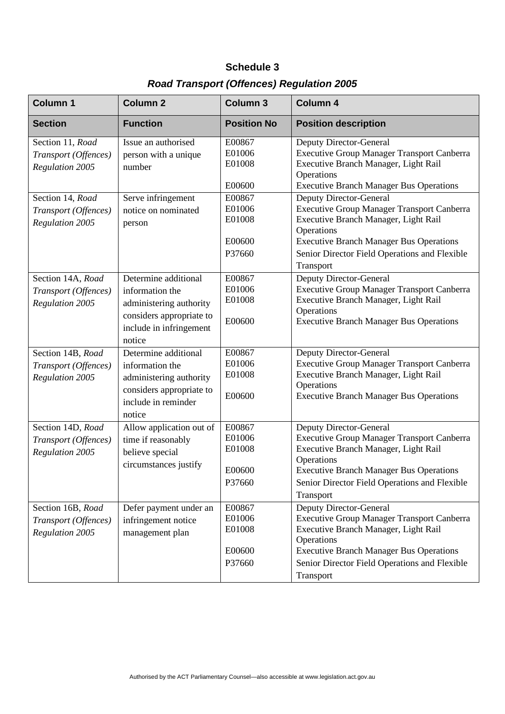## **Schedule 3**

## *Road Transport (Offences) Regulation 2005*

| <b>Column 1</b>                                                     | <b>Column 2</b>                                                                                                                     | <b>Column 3</b>                                | <b>Column 4</b>                                                                                                                                                                                                                                    |
|---------------------------------------------------------------------|-------------------------------------------------------------------------------------------------------------------------------------|------------------------------------------------|----------------------------------------------------------------------------------------------------------------------------------------------------------------------------------------------------------------------------------------------------|
| <b>Section</b>                                                      | <b>Function</b>                                                                                                                     | <b>Position No</b>                             | <b>Position description</b>                                                                                                                                                                                                                        |
| Section 11, Road<br>Transport (Offences)<br><b>Regulation 2005</b>  | Issue an authorised<br>person with a unique<br>number                                                                               | E00867<br>E01006<br>E01008<br>E00600           | Deputy Director-General<br><b>Executive Group Manager Transport Canberra</b><br>Executive Branch Manager, Light Rail<br>Operations<br><b>Executive Branch Manager Bus Operations</b>                                                               |
| Section 14, Road<br>Transport (Offences)<br><b>Regulation 2005</b>  | Serve infringement<br>notice on nominated<br>person                                                                                 | E00867<br>E01006<br>E01008<br>E00600<br>P37660 | Deputy Director-General<br><b>Executive Group Manager Transport Canberra</b><br>Executive Branch Manager, Light Rail<br>Operations<br><b>Executive Branch Manager Bus Operations</b><br>Senior Director Field Operations and Flexible<br>Transport |
| Section 14A, Road<br>Transport (Offences)<br>Regulation 2005        | Determine additional<br>information the<br>administering authority<br>considers appropriate to<br>include in infringement<br>notice | E00867<br>E01006<br>E01008<br>E00600           | Deputy Director-General<br><b>Executive Group Manager Transport Canberra</b><br>Executive Branch Manager, Light Rail<br>Operations<br><b>Executive Branch Manager Bus Operations</b>                                                               |
| Section 14B, Road<br>Transport (Offences)<br><b>Regulation 2005</b> | Determine additional<br>information the<br>administering authority<br>considers appropriate to<br>include in reminder<br>notice     | E00867<br>E01006<br>E01008<br>E00600           | <b>Deputy Director-General</b><br><b>Executive Group Manager Transport Canberra</b><br>Executive Branch Manager, Light Rail<br>Operations<br><b>Executive Branch Manager Bus Operations</b>                                                        |
| Section 14D, Road<br>Transport (Offences)<br><b>Regulation 2005</b> | Allow application out of<br>time if reasonably<br>believe special<br>circumstances justify                                          | E00867<br>E01006<br>E01008<br>E00600<br>P37660 | Deputy Director-General<br><b>Executive Group Manager Transport Canberra</b><br>Executive Branch Manager, Light Rail<br>Operations<br><b>Executive Branch Manager Bus Operations</b><br>Senior Director Field Operations and Flexible<br>Transport |
| Section 16B, Road<br>Transport (Offences)<br>Regulation 2005        | Defer payment under an<br>infringement notice<br>management plan                                                                    | E00867<br>E01006<br>E01008<br>E00600<br>P37660 | Deputy Director-General<br><b>Executive Group Manager Transport Canberra</b><br>Executive Branch Manager, Light Rail<br>Operations<br><b>Executive Branch Manager Bus Operations</b><br>Senior Director Field Operations and Flexible<br>Transport |